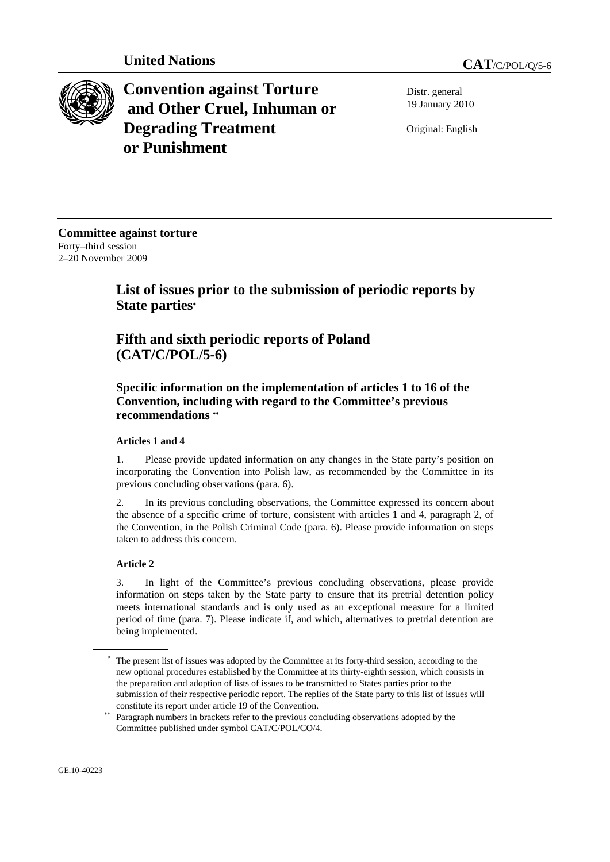

**Convention against Torture and Other Cruel, Inhuman or Degrading Treatment or Punishment** 

Distr. general 19 January 2010

Original: English

**Committee against torture**  Forty–third session 2–20 November 2009

# **List of issues prior to the submission of periodic reports by State parties**<sup>∗</sup>

# **Fifth and sixth periodic reports of Poland (CAT/C/POL/5-6)**

# **Specific information on the implementation of articles 1 to 16 of the Convention, including with regard to the Committee's previous recommendations** ∗∗

## **Articles 1 and 4**

1. Please provide updated information on any changes in the State party's position on incorporating the Convention into Polish law, as recommended by the Committee in its previous concluding observations (para. 6).

2. In its previous concluding observations, the Committee expressed its concern about the absence of a specific crime of torture, consistent with articles 1 and 4, paragraph 2, of the Convention, in the Polish Criminal Code (para. 6). Please provide information on steps taken to address this concern.

## **Article 2**

3. In light of the Committee's previous concluding observations, please provide information on steps taken by the State party to ensure that its pretrial detention policy meets international standards and is only used as an exceptional measure for a limited period of time (para. 7). Please indicate if, and which, alternatives to pretrial detention are being implemented.

<sup>∗</sup> The present list of issues was adopted by the Committee at its forty-third session, according to the new optional procedures established by the Committee at its thirty-eighth session, which consists in the preparation and adoption of lists of issues to be transmitted to States parties prior to the submission of their respective periodic report. The replies of the State party to this list of issues will constitute its report under article 19 of the Convention.

<sup>∗∗</sup> Paragraph numbers in brackets refer to the previous concluding observations adopted by the Committee published under symbol CAT/C/POL/CO/4.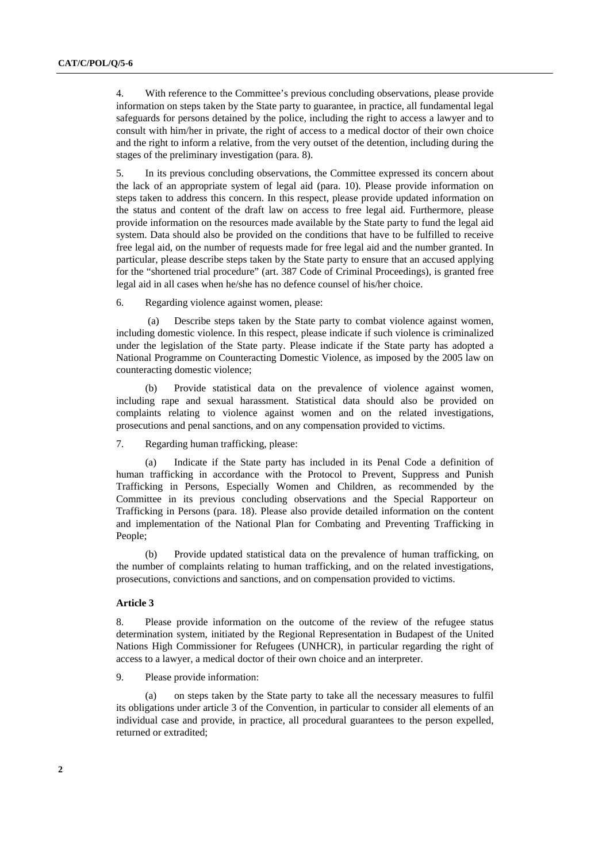4. With reference to the Committee's previous concluding observations, please provide information on steps taken by the State party to guarantee, in practice, all fundamental legal safeguards for persons detained by the police, including the right to access a lawyer and to consult with him/her in private, the right of access to a medical doctor of their own choice and the right to inform a relative, from the very outset of the detention, including during the stages of the preliminary investigation (para. 8).

5. In its previous concluding observations, the Committee expressed its concern about the lack of an appropriate system of legal aid (para. 10). Please provide information on steps taken to address this concern. In this respect, please provide updated information on the status and content of the draft law on access to free legal aid. Furthermore, please provide information on the resources made available by the State party to fund the legal aid system. Data should also be provided on the conditions that have to be fulfilled to receive free legal aid, on the number of requests made for free legal aid and the number granted. In particular, please describe steps taken by the State party to ensure that an accused applying for the "shortened trial procedure" (art. 387 Code of Criminal Proceedings), is granted free legal aid in all cases when he/she has no defence counsel of his/her choice.

6. Regarding violence against women, please:

Describe steps taken by the State party to combat violence against women, including domestic violence. In this respect, please indicate if such violence is criminalized under the legislation of the State party. Please indicate if the State party has adopted a National Programme on Counteracting Domestic Violence, as imposed by the 2005 law on counteracting domestic violence;

(b) Provide statistical data on the prevalence of violence against women, including rape and sexual harassment. Statistical data should also be provided on complaints relating to violence against women and on the related investigations, prosecutions and penal sanctions, and on any compensation provided to victims.

7. Regarding human trafficking, please:

(a) Indicate if the State party has included in its Penal Code a definition of human trafficking in accordance with the Protocol to Prevent, Suppress and Punish Trafficking in Persons, Especially Women and Children, as recommended by the Committee in its previous concluding observations and the Special Rapporteur on Trafficking in Persons (para. 18). Please also provide detailed information on the content and implementation of the National Plan for Combating and Preventing Trafficking in People;

(b) Provide updated statistical data on the prevalence of human trafficking, on the number of complaints relating to human trafficking, and on the related investigations, prosecutions, convictions and sanctions, and on compensation provided to victims.

#### **Article 3**

8. Please provide information on the outcome of the review of the refugee status determination system, initiated by the Regional Representation in Budapest of the United Nations High Commissioner for Refugees (UNHCR), in particular regarding the right of access to a lawyer, a medical doctor of their own choice and an interpreter.

9. Please provide information:

(a) on steps taken by the State party to take all the necessary measures to fulfil its obligations under article 3 of the Convention, in particular to consider all elements of an individual case and provide, in practice, all procedural guarantees to the person expelled, returned or extradited;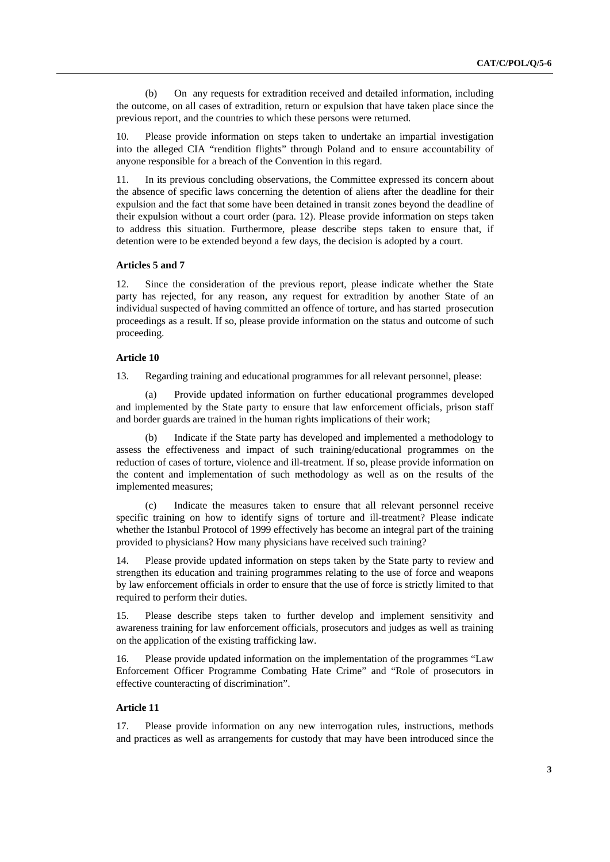(b) On any requests for extradition received and detailed information, including the outcome, on all cases of extradition, return or expulsion that have taken place since the previous report, and the countries to which these persons were returned.

10. Please provide information on steps taken to undertake an impartial investigation into the alleged CIA "rendition flights" through Poland and to ensure accountability of anyone responsible for a breach of the Convention in this regard.

11. In its previous concluding observations, the Committee expressed its concern about the absence of specific laws concerning the detention of aliens after the deadline for their expulsion and the fact that some have been detained in transit zones beyond the deadline of their expulsion without a court order (para. 12). Please provide information on steps taken to address this situation. Furthermore, please describe steps taken to ensure that, if detention were to be extended beyond a few days, the decision is adopted by a court.

### **Articles 5 and 7**

12. Since the consideration of the previous report, please indicate whether the State party has rejected, for any reason, any request for extradition by another State of an individual suspected of having committed an offence of torture, and has started prosecution proceedings as a result. If so, please provide information on the status and outcome of such proceeding.

### **Article 10**

13. Regarding training and educational programmes for all relevant personnel, please:

(a) Provide updated information on further educational programmes developed and implemented by the State party to ensure that law enforcement officials, prison staff and border guards are trained in the human rights implications of their work;

 (b) Indicate if the State party has developed and implemented a methodology to assess the effectiveness and impact of such training/educational programmes on the reduction of cases of torture, violence and ill-treatment. If so, please provide information on the content and implementation of such methodology as well as on the results of the implemented measures;

(c) Indicate the measures taken to ensure that all relevant personnel receive specific training on how to identify signs of torture and ill-treatment? Please indicate whether the Istanbul Protocol of 1999 effectively has become an integral part of the training provided to physicians? How many physicians have received such training?

14. Please provide updated information on steps taken by the State party to review and strengthen its education and training programmes relating to the use of force and weapons by law enforcement officials in order to ensure that the use of force is strictly limited to that required to perform their duties.

15. Please describe steps taken to further develop and implement sensitivity and awareness training for law enforcement officials, prosecutors and judges as well as training on the application of the existing trafficking law.

16. Please provide updated information on the implementation of the programmes "Law Enforcement Officer Programme Combating Hate Crime" and "Role of prosecutors in effective counteracting of discrimination".

### **Article 11**

17. Please provide information on any new interrogation rules, instructions, methods and practices as well as arrangements for custody that may have been introduced since the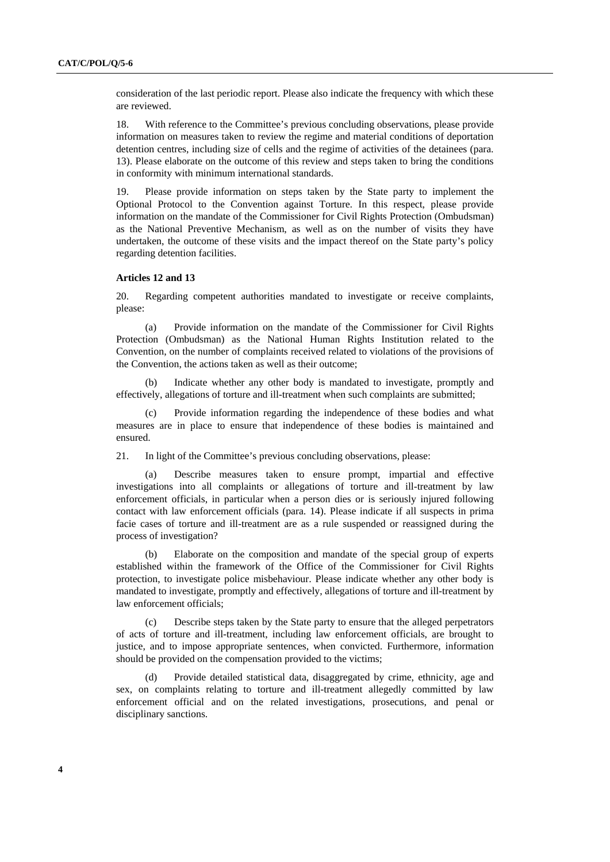consideration of the last periodic report. Please also indicate the frequency with which these are reviewed.

18. With reference to the Committee's previous concluding observations, please provide information on measures taken to review the regime and material conditions of deportation detention centres, including size of cells and the regime of activities of the detainees (para. 13). Please elaborate on the outcome of this review and steps taken to bring the conditions in conformity with minimum international standards.

19. Please provide information on steps taken by the State party to implement the Optional Protocol to the Convention against Torture. In this respect, please provide information on the mandate of the Commissioner for Civil Rights Protection (Ombudsman) as the National Preventive Mechanism, as well as on the number of visits they have undertaken, the outcome of these visits and the impact thereof on the State party's policy regarding detention facilities.

#### **Articles 12 and 13**

20. Regarding competent authorities mandated to investigate or receive complaints, please:

(a) Provide information on the mandate of the Commissioner for Civil Rights Protection (Ombudsman) as the National Human Rights Institution related to the Convention, on the number of complaints received related to violations of the provisions of the Convention, the actions taken as well as their outcome;

Indicate whether any other body is mandated to investigate, promptly and effectively, allegations of torture and ill-treatment when such complaints are submitted;

(c) Provide information regarding the independence of these bodies and what measures are in place to ensure that independence of these bodies is maintained and ensured.

21. In light of the Committee's previous concluding observations, please:

Describe measures taken to ensure prompt, impartial and effective investigations into all complaints or allegations of torture and ill-treatment by law enforcement officials, in particular when a person dies or is seriously injured following contact with law enforcement officials (para. 14). Please indicate if all suspects in prima facie cases of torture and ill-treatment are as a rule suspended or reassigned during the process of investigation?

(b) Elaborate on the composition and mandate of the special group of experts established within the framework of the Office of the Commissioner for Civil Rights protection, to investigate police misbehaviour. Please indicate whether any other body is mandated to investigate, promptly and effectively, allegations of torture and ill-treatment by law enforcement officials;

(c) Describe steps taken by the State party to ensure that the alleged perpetrators of acts of torture and ill-treatment, including law enforcement officials, are brought to justice, and to impose appropriate sentences, when convicted. Furthermore, information should be provided on the compensation provided to the victims;

Provide detailed statistical data, disaggregated by crime, ethnicity, age and sex, on complaints relating to torture and ill-treatment allegedly committed by law enforcement official and on the related investigations, prosecutions, and penal or disciplinary sanctions.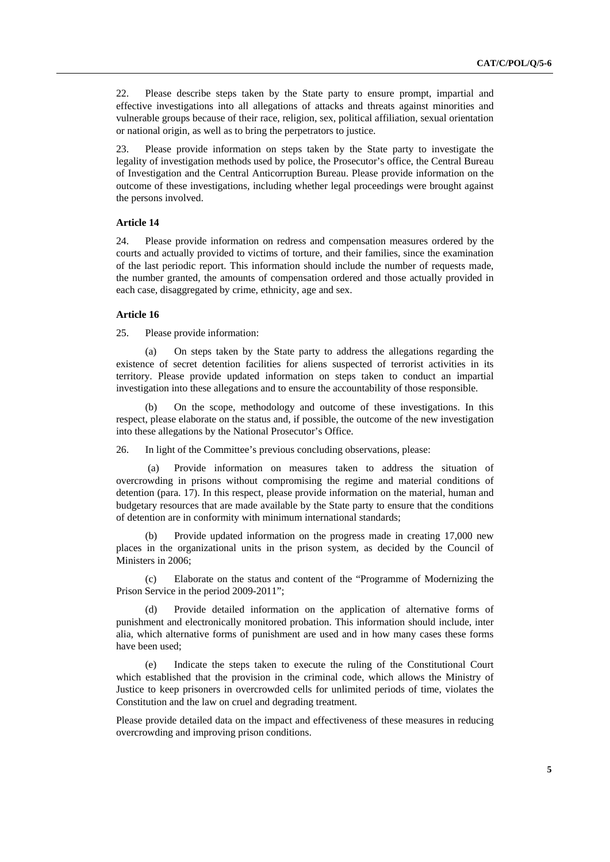22. Please describe steps taken by the State party to ensure prompt, impartial and effective investigations into all allegations of attacks and threats against minorities and vulnerable groups because of their race, religion, sex, political affiliation, sexual orientation or national origin, as well as to bring the perpetrators to justice.

23. Please provide information on steps taken by the State party to investigate the legality of investigation methods used by police, the Prosecutor's office, the Central Bureau of Investigation and the Central Anticorruption Bureau. Please provide information on the outcome of these investigations, including whether legal proceedings were brought against the persons involved.

#### **Article 14**

24. Please provide information on redress and compensation measures ordered by the courts and actually provided to victims of torture, and their families, since the examination of the last periodic report. This information should include the number of requests made, the number granted, the amounts of compensation ordered and those actually provided in each case, disaggregated by crime, ethnicity, age and sex.

#### **Article 16**

25. Please provide information:

(a) On steps taken by the State party to address the allegations regarding the existence of secret detention facilities for aliens suspected of terrorist activities in its territory. Please provide updated information on steps taken to conduct an impartial investigation into these allegations and to ensure the accountability of those responsible.

On the scope, methodology and outcome of these investigations. In this respect, please elaborate on the status and, if possible, the outcome of the new investigation into these allegations by the National Prosecutor's Office.

26. In light of the Committee's previous concluding observations, please:

 (a) Provide information on measures taken to address the situation of overcrowding in prisons without compromising the regime and material conditions of detention (para. 17). In this respect, please provide information on the material, human and budgetary resources that are made available by the State party to ensure that the conditions of detention are in conformity with minimum international standards;

(b) Provide updated information on the progress made in creating 17,000 new places in the organizational units in the prison system, as decided by the Council of Ministers in 2006;

(c) Elaborate on the status and content of the "Programme of Modernizing the Prison Service in the period 2009-2011";

(d) Provide detailed information on the application of alternative forms of punishment and electronically monitored probation. This information should include, inter alia, which alternative forms of punishment are used and in how many cases these forms have been used;

(e) Indicate the steps taken to execute the ruling of the Constitutional Court which established that the provision in the criminal code, which allows the Ministry of Justice to keep prisoners in overcrowded cells for unlimited periods of time, violates the Constitution and the law on cruel and degrading treatment.

Please provide detailed data on the impact and effectiveness of these measures in reducing overcrowding and improving prison conditions.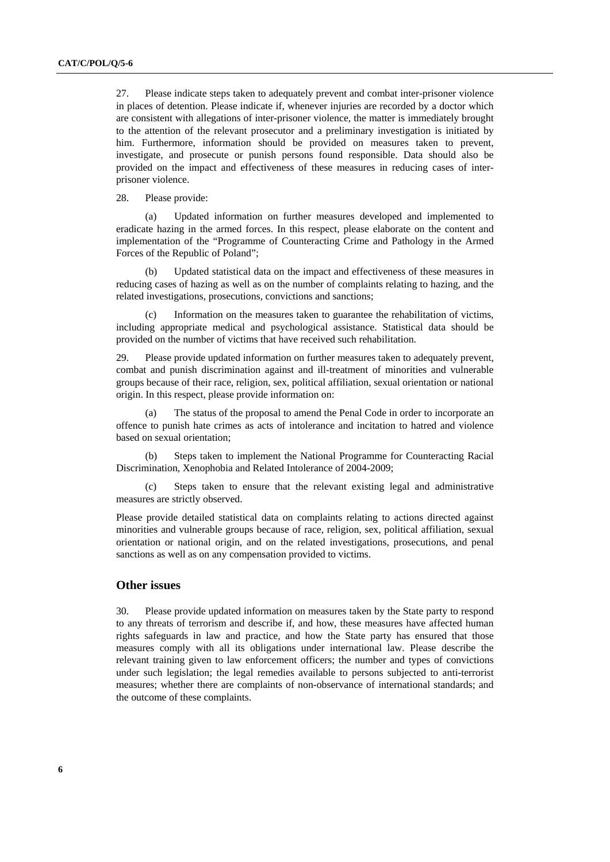27. Please indicate steps taken to adequately prevent and combat inter-prisoner violence in places of detention. Please indicate if, whenever injuries are recorded by a doctor which are consistent with allegations of inter-prisoner violence, the matter is immediately brought to the attention of the relevant prosecutor and a preliminary investigation is initiated by him. Furthermore, information should be provided on measures taken to prevent, investigate, and prosecute or punish persons found responsible. Data should also be provided on the impact and effectiveness of these measures in reducing cases of interprisoner violence.

28. Please provide:

(a) Updated information on further measures developed and implemented to eradicate hazing in the armed forces. In this respect, please elaborate on the content and implementation of the "Programme of Counteracting Crime and Pathology in the Armed Forces of the Republic of Poland";

Updated statistical data on the impact and effectiveness of these measures in reducing cases of hazing as well as on the number of complaints relating to hazing, and the related investigations, prosecutions, convictions and sanctions;

Information on the measures taken to guarantee the rehabilitation of victims, including appropriate medical and psychological assistance. Statistical data should be provided on the number of victims that have received such rehabilitation.

29. Please provide updated information on further measures taken to adequately prevent, combat and punish discrimination against and ill-treatment of minorities and vulnerable groups because of their race, religion, sex, political affiliation, sexual orientation or national origin. In this respect, please provide information on:

The status of the proposal to amend the Penal Code in order to incorporate an offence to punish hate crimes as acts of intolerance and incitation to hatred and violence based on sexual orientation;

Steps taken to implement the National Programme for Counteracting Racial Discrimination, Xenophobia and Related Intolerance of 2004-2009;

(c) Steps taken to ensure that the relevant existing legal and administrative measures are strictly observed.

Please provide detailed statistical data on complaints relating to actions directed against minorities and vulnerable groups because of race, religion, sex, political affiliation, sexual orientation or national origin, and on the related investigations, prosecutions, and penal sanctions as well as on any compensation provided to victims.

#### **Other issues**

30. Please provide updated information on measures taken by the State party to respond to any threats of terrorism and describe if, and how, these measures have affected human rights safeguards in law and practice, and how the State party has ensured that those measures comply with all its obligations under international law. Please describe the relevant training given to law enforcement officers; the number and types of convictions under such legislation; the legal remedies available to persons subjected to anti-terrorist measures; whether there are complaints of non-observance of international standards; and the outcome of these complaints.